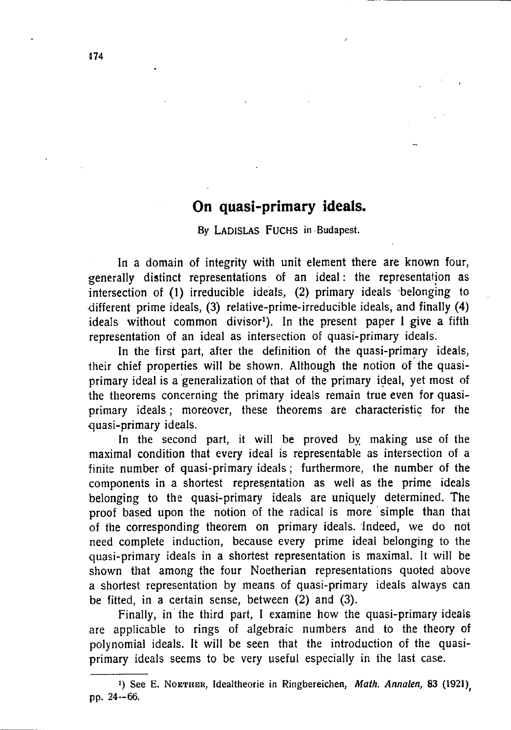## **On quasi-primary ideals.**

#### By LADISLAS FUCHS in Budapest.

**In a domain of integrity with unit element there are known four, generally distinct representations of an ideal: the representation as intersection of (1) irreducible ideals, (2) primary ideals belonging to different prime ideals, (3) relative-prime-irreducible ideals, and finally (4) ideals without common divisor<sup>1</sup> ). In the present paper I give a fifth representation of an ideal as intersection of quasi-primary ideals.** 

**In the first part, after the definition of the quasi-primary ideals, their chief properties will be shown. Although the notion of the quasiprimary ideal is a generalization of that of the primary ideal, yet most of the theorems concerning the primary ideals remain true even for quasiprimary ideals; moreover, these theorems are characteristic for the •quasi-primary ideals.** 

**In the second part, it will be proved by making use of the maximal condition that every ideal is representable as intersection of a finite number of quasi-primary ideals; furthermore, the number of the components in a shortest representation as well as the prime ideals belonging to the quasi-primary ideals are uniquely determined. The proof based upon the notion of the radical is more simple than that of the corresponding theorem on primary ideals. Indeed, we do not need complete induction, because every prime ideal belonging to the quasi-primary ideals in a shortest representation is maximal. It will be shown that among the four Noetherian representations quoted above a shortest representation by means of quasi-primary ideals always can be fitted, in a certain sense, between (2) and (3).** 

**Finally, in the third part, I examine how the quasi-primary ideals are applicable to rings of algebraic numbers and to the theory of polynomial ideals. It will be seen that the introduction of the quasiprimary ideals seems to be very useful especially in the last case.** 

<sup>&#</sup>x27;) See E. NOETHER, Idealtheorie in Ringbereichen, *Math. Annalen,* 83 (1921) pp. 24-66.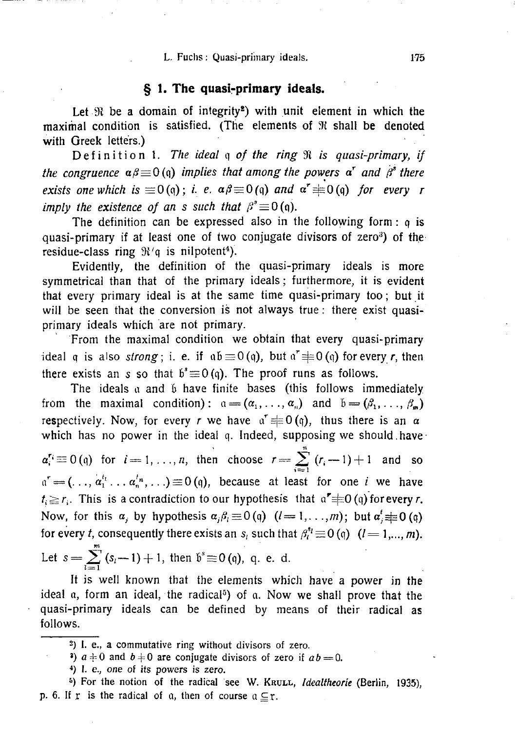#### L. Fuchs: Quasi-primary ideals. 175

#### **§ 1. The quasi-primary ideals.**

**Let be a domain of integrity<sup>2</sup> ) with unit element in which the maximal condition is satisfied. (The elements of W shall be denoted with Greek letters.)** 

**Definitio n 1.** *The ideal* **q** *of the ring* **3t** *is quasi-primary, if the congruence*  $\alpha\beta \equiv 0$  (q) *implies that among the powers*  $\alpha^r$  *and*  $\beta^s$  *there exists one which is*  $\equiv$   $O(q)$ ; *i. e.*  $\alpha \beta \equiv$   $O(q)$  and  $\alpha \equiv$   $O(q)$  for every r *imply the existence of an s such that*  $\beta^* \equiv 0$  (q).

**The definition can be expressed also in the following form: q is quasi-primary if at least one of two conjugate divisors of zero<sup>a</sup> ) of the**  residue-class ring  $\mathfrak{R}^t \mathfrak{q}$  is nilpotent<sup>4</sup>).

**Evidently, the definition of the quasi-primary ideals is more symmetrical than that of the primary ideals; furthermore, it is evident that every primary ideal is at the same time quasi-primary too; but it will be seen that the conversion is not always true: there exist quasiprimary ideals which are not primary.** 

**From the maximal condition we obtain that every quasi-primary**   $\alpha$  also *strong*; i. e. if  $\alpha \equiv 0$  (q), but  $\alpha \equiv 0$  (q) for every *r*, then there exists an s so that  $b \equiv 0$  (q). The proof runs as follows.

The ideals a and 6 have finite bases (this follows immediately from the maximal condition):  $a = (\alpha_1, \dots, \alpha_n)$  and  $b = (\beta_1, \dots, \beta_n)$  $\mathbf{r} = (\mathbf{a}_1, \mathbf{b}_2, \mathbf{c}_3, \mathbf{d}_4, \mathbf{d}_5, \mathbf{d}_7, \mathbf{d}_8, \mathbf{d}_9, \mathbf{d}_9, \mathbf{d}_9, \mathbf{d}_9, \mathbf{d}_9, \mathbf{d}_9, \mathbf{d}_9, \mathbf{d}_9, \mathbf{d}_9, \mathbf{d}_9, \mathbf{d}_9, \mathbf{d}_9, \mathbf{d}_9, \mathbf{d}_9, \mathbf{d}_9, \mathbf{d}_9, \mathbf{d}_9, \mathbf{d}_9, \mathbf{d}_9, \mathbf{d$ **respectively.** Now, for every *r* we have  $\alpha = 0$  (q), thus there is an  $\alpha$ 

which has no power in the fucul q. Indeed, supposing we should have  $a_i' \equiv 0$  (q) for  $i = 1, ..., n$ , then choose  $r = \sum_i (r_i - 1) + 1$  and so  $a^r = (\ldots, a_1^{t_1} \ldots a_n^{t_n}, \ldots) \equiv 0$  (q), because at least for one *i* we have  $t_i \ge r_i$ . This is a contradiction to our hypothesis that  $a^{\prime} \ne 0$  (q) for every *r*. Now, for this  $\alpha_j$  by hypothesis  $\alpha_j \beta_l \equiv 0 \pmod{l-1,\ldots,m}$ ; but  $\alpha_j \equiv 0 \pmod{q}$ for every *t*, consequently there exists an  $s_i$  such that  $\beta_i^{s_i} \equiv 0 \quad (i = 1, ..., m)$ . Let  $s = \sum^{m} (s_i - 1) + 1$ , then  $\delta^s \equiv 0$  (q), q. e. d.

It is well known that the elements which have a power in the ideal a, form an ideal, the radical<sup>5</sup>) of a. Now we shall prove that the **ideal a, form an ideal, the radical<sup>5</sup> ) of a. Now we shall prove that the quasi-primary ideals can be defined by means of their radical as follows.** 

2 ) I. e., a commutative ring without divisors of zero.

*l*  $a \neq 0$  and  $b \neq 0$  are conjugate divisors of zero if  $ab = 0$ .

4 ) I. e., one of its powers is zero.

<sup>5</sup>) For the notion of the radical see W. KRULL, *Idealtheorie* (Berlin, 1935), p. 6. If r is the radical of a, then of course  $a \subseteq r$ .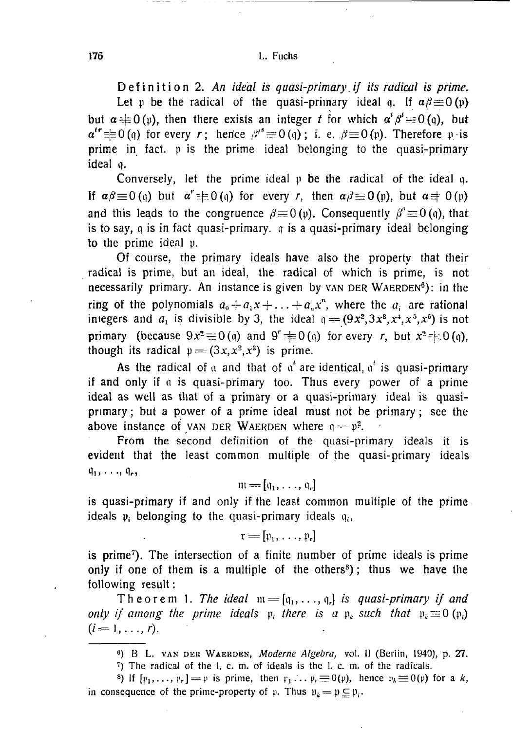176 L. Fuchs

Definition 2. An ideal is quasi-primary if its radical is prime. Let p be the radical of the quasi-primary ideal q. If  $\alpha \beta \equiv 0$  (p) **but**  $\alpha \neq 0$  (v), then there exists an integer *t* for which  $\alpha^t \beta^t = 0$  (q), but  $a^{tr} \equiv 0$ (q) for every r; hence  $\beta^{r} \equiv 0$ (q); i. e.  $\beta \equiv 0$ (p). Therefore pis **prime in fact, p is the prime ideal belonging to the quasi-primary ideal q.** 

**Conversely, let the prime ideal p be the radical of the ideal q.**  If  $\alpha\beta \equiv 0$  (q) but  $\alpha^r \equiv 0$  (q) for every *r*, then  $\alpha\beta \equiv 0$  (p), but  $\alpha \equiv 0$  (p) **and this leads to the congruence**  $\beta \equiv 0$  **(p). Consequently**  $\beta^* \equiv 0$  **(q), that is to say, q is in fact quasi-primary, q is a quasi-primary ideal belonging to the prime ideal p.** 

**Of course, the primary ideals have also the property that their radical is prime, but an ideal, the radical of which is prime, is not necessarily primary. An instance is given by** VAN DER WAERDEN**<sup>5</sup> ) : in the ring** of the polynomials  $a_0 + a_1x + \ldots + a_nx^n$ , where the  $a_i$  are rational **integers and**  $a_1$  **is divisible by 3, the ideal**  $q = (9x^2, 3x^3, x^4, x^5, x^6)$  **is not primary** (because  $9x^2 \equiv 0$  (q) and  $9^r \not\equiv 0$  (q) for every *r*, but  $x^2 \not\equiv 0$  (q), **though its radical**  $p = (3x, x^2, x^3)$  is prime.

As the radical of a and that of  $\alpha^t$  are identical,  $\alpha^t$  is quasi-primary **if and only if a is quasi-primary too. Thus every power of a prime ideal as well as that of a primary or a quasi-primary ideal is quasiprimary ; but a power of a prime ideal must not be primary; see the above instance of VAN DER WAERDEN where**  $q = p^2$ **.** 

**From the second definition of the quasi-primary ideals it is evident that the least common multiple of the quasi-primary ideals**   $\mathfrak{q}_1, \ldots, \mathfrak{q}_r,$ 

$$
\mathfrak{m}=[\mathfrak{q}_1,\ldots,\mathfrak{q}_r]
$$

**is quasi-primary if and only if the least common multiple of the prime ideals p; belonging to the quasi-primary ideals q,,** 

$$
\mathfrak{r}=[\mathfrak{p}_1,\ldots,\mathfrak{p}_r]
$$

**is prime<sup>7</sup> ). The intersection of a finite number of prime ideals is prime only if one of them is a multiple of the others<sup>8</sup> ); thus we have the following result:** 

**Theorem 1.** The ideal  $m = [q_1, \ldots, q_r]$  is quasi-primary if and *only if among the prime ideals*  $\psi_i$  *there is a*  $\psi_k$  *such that*  $\psi_k \equiv 0$  ( $\psi_i$ )  $(i=1,\ldots,r)$ .

1 ) The radical of the 1. c. m. of ideals is the 1. c. ni. of the radicals.

<sup>8</sup>) If  $[p_1, \ldots, p_r] = p$  is prime, then  $p_1 \ldots p_r \equiv 0(p)$ , hence  $p_k \equiv 0(p)$  for a k, in consequence of the prime-property of p. Thus  $p_i = p \subseteq p_i$ .

c ) B<sup>L</sup> . VAN DEK WAERDEN , *Moderne Algebra,* vol. 11 (Berlin, 1940), p. 27.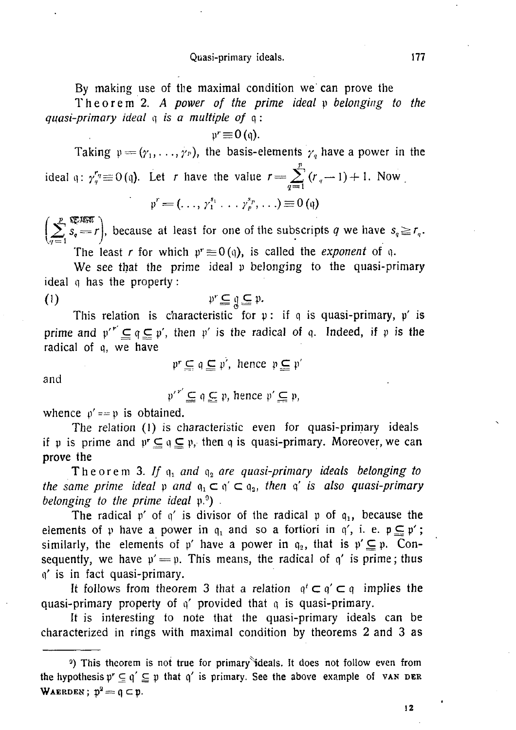#### Quasi-primary ideals. 177

**By making use of the maximal condition we can prove the** 

**Theore m 2.** *A power of the prime ideal* **p** *belonging to the quasi-primary ideal* **q** *is a multiple of* **q :** 

$$
\mathfrak{p}^r\!\equiv\!0\,(\mathfrak{q}).
$$

Taking  $p = (y_1, \ldots, y_p)$ , the basis-elements  $y_q$  have a power in the *V*  ideal q:  $\gamma_q^i \equiv 0$  (q). Let *r* have the value  $r = \sum_{q=1}^{\infty} (r_q - 1) + 1$ . Now

$$
\mathfrak{p}^r = (\ldots, \gamma_1^{s_1} \ldots \gamma_n^{s_n}, \ldots) \equiv 0 \text{ (q)}
$$

 $\int$   $p$  v spara  $\int$  $\sum s_q = r$ , because at least for one of the subscripts q we have  $s_q \ge r_q$ .

The least *r* for which  $p^r \equiv 0$  (q), is called the *exponent* of q.

**We see that the prime idea! p belonging to the quasi-primary ideal q has the property:** 

$$
p^r \subseteq q \subseteq p.
$$

**This relation is characteristic for p: if q is quasi-primary, p' is prime and**  $p'$   $\subseteq q \subseteq p'$ , then p' is the radical of q. Indeed, if p is the **radical of q, we have** 

 $\mathfrak{p}^r \subseteq \mathfrak{q} \subseteq \mathfrak{p}'$ , hence  $\mathfrak{p} \subseteq \mathfrak{p}'$ 

**and** 

 $p'^{r'} \subseteq q \subseteq p$ , hence  $p' \subseteq p$ ,

whence  $p' == p$  is obtained.

**The relation (1) is characteristic even for quasi-primary ideals**  if  $\psi$  is prime and  $\psi \subseteq \phi \subseteq \psi$ , then q is quasi-primary. Moreover, we can **prove the** 

**Theore m 3.** *If* **q,** *and* **q2** *are quasi-primary ideals belonging to the same prime ideal*  $p$  *and*  $q_1 \subset q' \subset q_2$ *, then*  $q'$  *is also quasi-primary belonging to the prime ideal* **p.°) .** 

The radical  $p'$  of  $q'$  is divisor of the radical  $p$  of  $q_1$ , because the elements of p have a power in  $q_1$  and so a fortiori in  $q'$ , i. e.  $p \subseteq p'$ ; similarly, the elements of p' have a power in  $q_2$ , that is  $p' \subseteq p$ . Consequently, we have  $p' = p$ . This means, the radical of  $q'$  is prime; thus **q' is in fact quasi-primary.** 

It follows from theorem 3 that a relation  $q^t \subset q^r \subset q$  implies the **quasi-primary property of q' provided that q is quasi-primary.** 

**It is interesting to note that the quasi-primary ideals can be characterized in rings with maximal condition by theorems 2 and 3 as** 

$$
12\,
$$

<sup>&</sup>lt;sup>3</sup>) This theorem is not true for primary ideals. It does not follow even from the hypothesis  $p^r \subseteq q^r \subseteq p$  that q' is primary. See the above example of VAN DER WAERDEN;  $p^2 = q \subset p$ .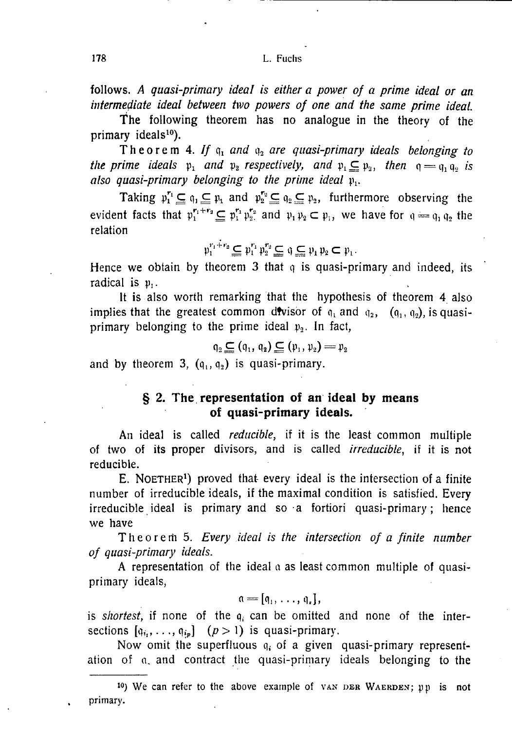follows. *A quasi-primary ideal is either a power of a prime ideal or an intermediate ideal between two powers of one and the same prime ideal.* 

The following theorem has no analogue in the theory of the primary ideals<sup>10</sup>).

Theorem 4. If  $q_1$  and  $q_2$  are quasi-primary ideals belonging to *the prime ideals*  $\mathfrak{p}_1$  and  $\mathfrak{p}_2$  respectively, and  $\mathfrak{p}_1 \subseteqq \mathfrak{p}_2$ , then  $\mathfrak{q} = \mathfrak{q}_1 \mathfrak{q}_2$  is *also quasi-primary belonging to the prime ideal* **p,.** 

**Taking**  $p_1^{r_1} \subseteq q_1 \subseteq p_1$  and  $p_2^{r_2} \subseteq q_2 \subseteq p_2$ , furthermore observing the **evident facts that**  $p_1^{r_1+r_2} \subseteq p_1^{r_1} p_2^{r_2}$  **and**  $p_1 p_2 \subset p_1$ **, we have for**  $q = q_1 q_2$  **the relation** 

$$
\mathfrak{p}_1^{r_1+r_2} \subseteq \mathfrak{p}_1^{r_1} \mathfrak{p}_2^{r_2} \subseteq \mathfrak{q} \subseteq \mathfrak{p}_1 \mathfrak{p}_2 \subset \mathfrak{p}_1.
$$

**Hence we obtain by theorem 3 that q is quasi-primary and indeed, its radical is p,.** 

**It** is **also worth remarking that the hypothesis of theorem** 4 **also**  implies that the greatest common divisor of  $q_1$  and  $q_2$ ,  $(q_1, q_2)$ , is quasi**primary belonging to the prime ideal p2. In fact,** 

$$
\mathfrak{q}_2 \subseteq (\mathfrak{q}_1, \mathfrak{q}_2) \subseteq (\mathfrak{p}_1, \mathfrak{p}_2) = \mathfrak{p}_2
$$

and by theorem 3,  $(q_1, q_2)$  is quasi-primary.

### **§ 2. The representation of an ideal by means of quasi-primary ideals.**

**An ideal is called** *reducible,* **if it is the least common multiple of two of its proper divisors, and is called** *irreducible,* **if it is not reducible.** 

**E.** NOETHER**<sup>1</sup> ) proved that- every ideal is the intersection of a finite number of irreducible ideals, if the maximal condition is satisfied. Every irreducible ideal is primary and so a fortiori quasi-primary; hence we have** 

**Theore m 5.** *Every ideal is the intersection of a finite number of quasi-primary ideals.* 

**A representation of the ideal a as least common multiple of quasiprimary ideals,** 

$$
\mathfrak{a}=[\mathfrak{q}_1,\ldots,\mathfrak{q}_s],
$$

**is** *shortest,* **if none of the q, can be omitted and none of the inter**sections  $[q_i, \ldots, q_{i_p}]$   $(p > 1)$  is quasi-primary.

**Now omit the superfluous q; of a given quasi-primary representation of a. and contract the quasi-primary ideals belonging to the** 

IO) We can refer to the above example of VAN DER WAERDEN; pp is not primary.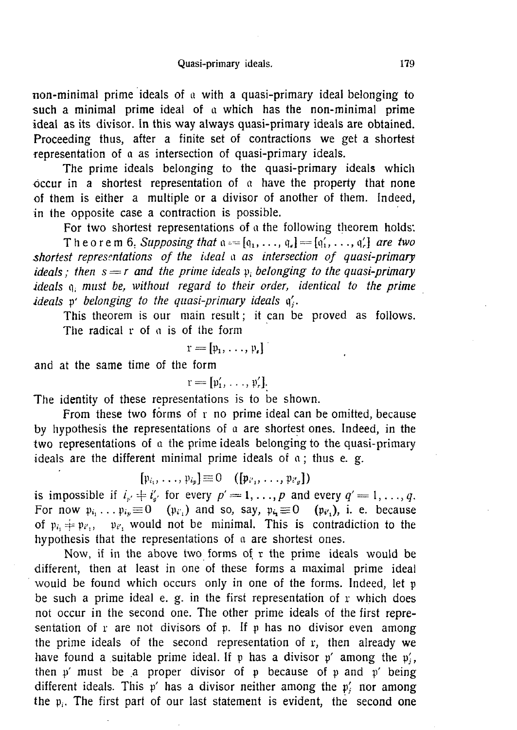**non-minimal prime ideals of a with a quasi-primary ideal belonging to such a minimal prime ideal of a which has the non-minimal prime ideal as its divisor. In this way always quasi-primary ideals are obtained. Proceeding thus, after a finite set of contractions we get a shortest representation of a as intersection of quasi-primary ideals.** 

**The prime ideals belonging to the quasi-primary ideals which occur in a shortest representation of a have the property that none of them is either a multiple or a divisor of another of them. Indeed, in the opposite case a contraction is possible.** 

For two shortest representations of a the following theorem holds: **Theorem 6.** Supposing that  $\mathfrak{a} = [\mathfrak{q}_1, \ldots, \mathfrak{q}_s] = [\mathfrak{q}'_1, \ldots, \mathfrak{q}'_r]$  are two *shortest representations of the ideal a as intersection of quasi-primary ideals; then s = r and the prime ideals* **p,** *belonging to the quasi-primary ideals q. must be, without regard to their order, identical to the prime ideals* **p'** *belonging to the quasi-primary ideals* **q'.** 

**This theorem is our main result; it can be proved as follows. The radical r of a is of the form** 

$$
\mathbf{r}=[\mathbf{p}_1,\ldots,\mathbf{p}_r]^\top
$$

**and at the same time of the form** 

 $r = [\mathfrak{p}'_1, \ldots, \mathfrak{p}'_r].$ 

**The identity of these representations is to be shown.** 

**From these two forms of r no prime ideal can be omitted, because by hypothesis the representations of a are shortest ones. Indeed, in the two representations of a the prime ideals belonging to the quasi-primary ideals are the different minimal prime ideals of a; thus e. g.** 

$$
[\mathfrak{p}_{i_1},\ldots,\mathfrak{p}_{i_p}]\equiv 0\quad([\mathfrak{p}_{i_1},\ldots,\mathfrak{p}_{i_p}])
$$

is impossible if  $i_{\mu} \neq i'_{\mu'}$  for every  $p' = 1, \ldots, p$  and every  $q' = 1, \ldots, q$ . For now  $p_{i_1} \ldots p_{i_p} \equiv 0$  ( $p_{i'_1}$ ) and so, say,  $p_{i_1} \equiv 0$  ( $p_{i'_1}$ ), i. e. because of  $p_k \neq p_{k_1}$ ,  $p_{k_2}$  would not be minimal. This is contradiction to the **hypothesis that the representations of a are shortest ones.** 

**Now, if in the above two forms of r the prime ideals would be different, then at least in one of these forms a maximal prime ideal would be found which occurs only in one of the forms. Indeed, let p be such a prime ideal e. g. in the first representation of r which does not occur in the second one. The other prime ideals of the first representation of r are not divisors of p. If p has no divisor even among the prime ideals of the second representation of r, then already we**  have found a suitable prime ideal. If p has a divisor p' among the p;, **then p' must be a proper divisor of p because of p and p' being**  different ideals. This  $p'$  has a divisor neither among the  $p'$ , nor among **the p;. The first part of our last statement is evident, the second one**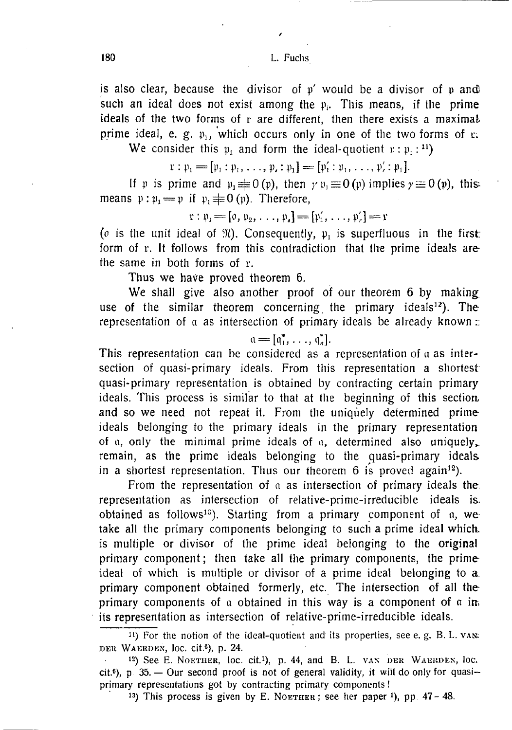**is also clear, because the divisor of p' would be a divisor of p and)**  such an ideal does not exist among the  $p_i$ . This means, if the prime **ideals of the two forms of r are different, then there exists a maximal prime ideal, e. g.**  $p_1$ **, which occurs only in one of the two forms of r.** 

We consider this  $\varphi_1$  and form the ideal-quotient  $x : \varphi_1 : \mathbb{I}$ 

$$
\mathfrak{r}: \mathfrak{p}_1 = [\mathfrak{p}_1: \mathfrak{p}_1, \ldots, \mathfrak{p}_s: \mathfrak{p}_1] = [\mathfrak{p}'_1: \mathfrak{p}_1, \ldots, \mathfrak{p}'_r: \mathfrak{p}_1].
$$

If p is prime and  $p_1 \not\equiv 0(p)$ , then  $\gamma p_1 \equiv 0(p)$  implies  $\gamma \equiv 0(p)$ , this**means**  $\psi : \psi_1 \rightleftharpoons \psi$  if  $\psi_1 \rightleftharpoons 0$  ( $\psi$ ). Therefore,

$$
r : \mathfrak{p}_1 = [\mathfrak{0}, \mathfrak{p}_2, \ldots, \mathfrak{p}_s] = [\mathfrak{p}'_1, \ldots, \mathfrak{p}'_r] = r
$$

*(o* is the unit ideal of  $\mathfrak{R}$ ). Consequently,  $\mathfrak{p}_1$  is superfluous in the first: **form of r. It follows from this contradiction that the prime ideals are the same in both forms of r.** 

**Thus we have proved theorem 6.** 

We shall give also another proof of our theorem 6 by making **use of the similar theorem concerning the primary ideals<sup>12</sup>). The representation of a as intersection of primary ideals be already known ::** 

 $a = [q_1^*, \ldots, q_n^*].$ 

**This representation can be considered as a representation of a as intersection of quasi-primary ideals. From this representation a shortest quasi-primary representation is obtained by contracting certain primary ideals. This process is similar to that at the beginning of this sectioa and so we need not repeat it. From the uniquely determined prime ideals belonging to the primary ideals in the primary representation of** n, **only the minimal prime ideals of** a, **determined also uniquely,, remain, as the prime ideals belonging to the quasi-primary ideals in a shortest representation. Thus our theorem 6 is proved again<sup>12</sup>).** 

**From the representation of a as intersection of primary ideals the representation as intersection of relative-prime-irreducible ideals is. obtained as follows<sup>13</sup>). Starting from a primary component of a, we take all the primary components belonging to such a prime ideal which, is multiple or divisor of the prime ideal belonging to the original primary component; then take all the primary components, the prime ideal of which is multiple or divisor of a prime ideal belonging to a primary component obtained formerly, etc. The intersection of all the primary components of a obtained in this way is a component of**  $\alpha$  **instances its representation as intersection of relative-prime-irreducible ideals.** 

11) For the notion of the ideal-quotient and its properties, see e.g. B. L. van: DER WAERDEN, loc. cit.<sup>6</sup> ), p. 24.

<sup>12</sup>) See E. NOETIIER, loc. cit.<sup>1</sup> ), p. 44, and B. L. VAX DER WAEKDEN, loc. cit.<sup>6</sup>), p 35. - Our second proof is not of general validity, it will do only for quasiprimary representations got by contracting primary components!

<sup>13</sup>) This process is given by E. NOETHER; see her paper <sup>1</sup>), pp.  $47 - 48$ .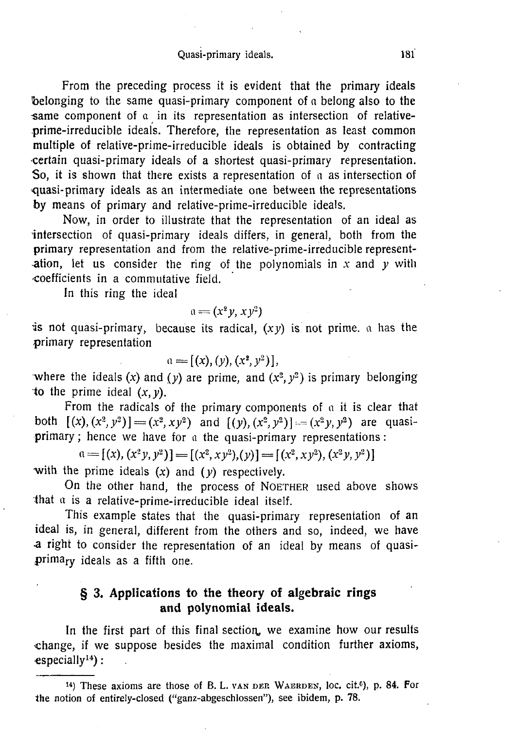#### Quasi-primary ideals. **181**

**From the preceding process it is evident that the primary ideals belonging to the same quasi-primary component of a belong also to the**  same component of a in its representation as intersection of relative**prime-irreducible ideals. Therefore, the representation as least common multiple of relative-prime-irreducible ideals is obtained by contracting •certain quasi-primary ideals of a shortest quasi-primary representation. So, it is shown that there exists a representation of a as intersection of quasi-primary ideals as an intermediate one between the representations by means of primary and relative-prime-irreducible ideals.** 

**Now, in order to illustrate that the representation of an ideal as intersection of quasi-primary ideals differs, in general, both from the primary representation and from the relative-prime-irreducible represent- -ation, let us consider the ring of the polynomials in** *x* **and** *y* **with coefficients in a commutative field.** 

**In this ring the ideal** 

$$
\mathfrak{a}=(x^2y,xy^2)
$$

**is not quasi-primary, because its radical,**  $(xy)$  **is not prime, a has the primary representation** 

$$
a = [(x), (y), (x^2, y^2)],
$$

where the ideals  $(x)$  and  $(y)$  are prime, and  $(x^2, y^2)$  is primary belonging **to the prime ideal**  $(x, y)$ **.** 

From the radicals of the primary components of a it is clear that **both**  $[(x), (x^2, y^2)] = (x^2, xy^2)$  and  $[(y), (x^2, y^2)] = (x^2y, y^2)$  are quasi**primary ; hence we have for a the quasi-primary representations:** 

 $\mathfrak{a} = [(x), (x^2y, y^2)] = [(x^2, xy^2), (y)] = [(x^2, xy^2), (x^2y, y^2)]$ 

**•with the prime ideals** *(x)* **and (y) respectively.** 

On the other hand, the process of NOETHER used above shows **that a is** *a* **relative-prime-irreducible ideal itself.** 

**This example states that the quasi-primary representation of an ideal is, in general, different from the others and so, indeed, we have •a right to consider the representation of an ideal by means of quasiprimary ideals as a fifth one.** 

## **§ 3. Applications to the theory of algebraic rings and polynomial ideals.**

In the first part of this final section, we examine how our results **change, if we suppose besides the maximal condition further axioms, especially<sup>14</sup>):** 

<sup>14</sup>) These axioms are those of B. L. VAN DEP. WAERDEN, loc. cit.°), p. 84. For the notion of entirely-closed ("ganz-abgeschlossen"), see ibidem, p. 78.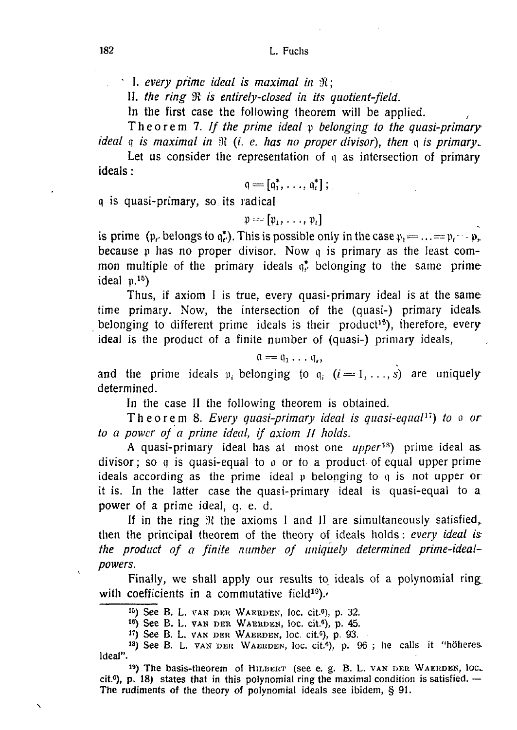*' I. every prime ideal is maximal in ;* 

II. the ring  $\Re$  is entirely-closed in its quotient-field.

In the first case the following theorem will be applied.

**Theore m 7.** *If the prime ideal* **p** *belonging to the quasi-primary ideal*  $\frak{q}$  *is maximal in*  $\mathcal{R}$  *(i. e. has no proper divisor), then*  $\frak{q}$  *is primary.* 

**Let us consider the representation of q as intersection of primary ideals:** 

$$
\mathfrak{q}=[\mathfrak{q}_1^*,\ldots,\mathfrak{q}_t^*]\,;\,
$$

**q is quasi-primary, so its radical** 

$$
\mathfrak{p} = \left[\mathfrak{p}_1, \ldots, \mathfrak{p}_t\right]
$$

is prime ( $\mathfrak{p}_t$ , belongs to  $\mathfrak{q}_t^*$ ). This is possible only in the case  $\mathfrak{p}_t = ... = \mathfrak{p}_t - \mathfrak{p}_t$ . **because p has no proper divisor. Now q is primary as the least common multiple of the primary ideals q\* belonging to the same prime ideal p.<sup>15</sup>)** 

**Thus, if axiom I is true, every quasi-primary ideal is at the sametime primary. Now, the intersection of the (quasi-) primary ideals belonging to different prime ideals is their product<sup>16</sup>), therefore, every ideal is the product of a finite number of (quasi-) primary ideals,** 

$$
\mathfrak{a}=\mathfrak{q}_1\ldots\mathfrak{q}_n
$$

**and the prime ideals**  $p_i$  **belonging to**  $q_i$  **(i = 1,...,s) are uniquely determined.** 

**In the case II the following theorem is obtained.** 

**Theore m 8.** *Every quasi-primary ideal is quasi-equal<sup>11</sup>) to a or to a power of a prime ideal, if axiom II holds.* 

**A quasi-primary ideal has at most one** *upper™)* **prime ideal as divisor; so q is quasi-equal to o or to a product of equal upper prime ideals according as the prime ideal p belonging to q is not upper or it is. In the latter case the quasi-primary ideal is quasi-equal to a power of a prime ideal, q. e. d.** 

**If in the ring 9t the axioms I and II are simultaneously satisfied, then the principal theorem of the theory of ideals holds:** *every ideal is: the product of a finite number of uniquely determined prime-idealpowers.* 

**Finally, we shall apply our results to ideals of a polynomial ring**  with coefficients in a commutative field<sup>19</sup>).

15) See B. L. VAN DER WAERDEN, loc. cit.<sup>6</sup>), p. 32.

 $16)$  See B. L. VAN DER WAERDEN, loc. cit.<sup>6</sup>), p. 45.

 $17)$  See B. L. VAN DER WAERDEN, loc. cit.<sup>6</sup>), p. 93.

<sup>18</sup>) See B. L. VAN DER WAERDEN, loc. cit.<sup>6</sup>), p. 96; he calls it "höheres. Ideal".

19) The basis-theorem of HILBERT (see e. g. B. L. VAN DER WAERDEN, loc.  $cit.6$ ), p. 18) states that in this polynomial ring the maximal condition is satisfied.  $-$ The rudiments of the theory of polynomial ideals see ibidem, § 91.